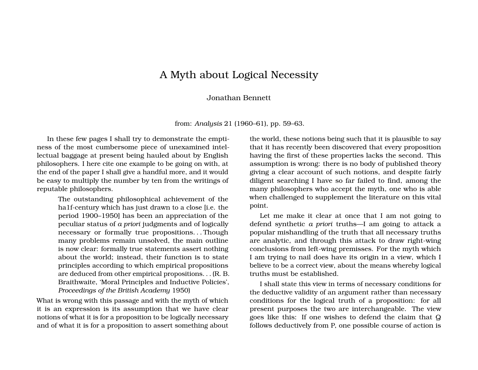## A Myth about Logical Necessity

## Jonathan Bennett

from: *Analysis* 21 (1960–61), pp. 59–63.

In these few pages I shall try to demonstrate the emptiness of the most cumbersome piece of unexamined intellectual baggage at present being hauled about by English philosophers. I here cite one example to be going on with, at the end of the paper I shall give a handful more, and it would be easy to multiply the number by ten from the writings of reputable philosophers.

> The outstanding philosophical achievement of the ha1f-century which has just drawn to a close [i.e. the period 1900–1950] has been an appreciation of the peculiar status of *a priori* judgments and of logically necessary or formally true propositions. . . Though many problems remain unsolved, the main outline is now clear: formally true statements assert nothing about the world; instead, their function is to state principles according to which empirical propositions are deduced from other empirical propositions. . . (R. B. Braithwaite, 'Moral Principles and Inductive Policies', *Proceedings of the British Academy* 1950)

What is wrong with this passage and with the myth of which it is an expression is its assumption that we have clear notions of what it is for a proposition to be logically necessary and of what it is for a proposition to assert something about the world, these notions being such that it is plausible to say that it has recently been discovered that every proposition having the first of these properties lacks the second. This assumption is wrong: there is no body of published theory giving a clear account of such notions, and despite fairly diligent searching I have so far failed to find, among the many philosophers who accept the myth, one who is able when challenged to supplement the literature on this vital point.

Let me make it clear at once that I am not going to defend synthetic *a priori* truths—I am going to attack a popular mishandling of the truth that all necessary truths are analytic, and through this attack to draw right-wing conclusions from left-wing premisses. For the myth which I am trying to nail does have its origin in a view, which I believe to be a correct view, about the means whereby logical truths must be established.

I shall state this view in terms of necessary conditions for the deductive validity of an argument rather than necessary conditions for the logical truth of a proposition: for all present purposes the two are interchangeable. The view goes like this: If one wishes to defend the claim that Q follows deductively from P, one possible course of action is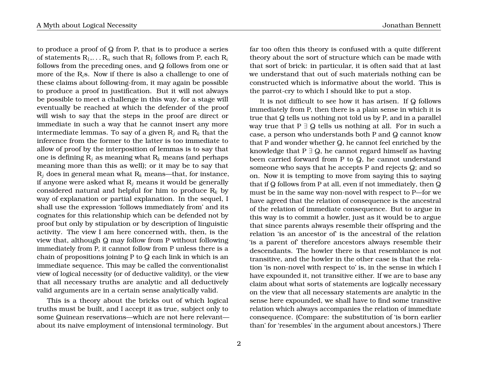to produce a proof of Q from P, that is to produce a series of statements  $R_1, \ldots, R_n$  such that  $R_1$  follows from P, each  $R_i$ follows from the preceding ones, and Q follows from one or more of the  $R_i$ s. Now if there is also a challenge to one of these claims about following-from, it may again be possible to produce a proof in justification. But it will not always be possible to meet a challenge in this way, for a stage will eventually be reached at which the defender of the proof will wish to say that the steps in the proof are direct or immediate in such a way that he cannot insert any more intermediate lemmas. To say of a given  $R_i$  and  $R_k$  that the inference from the former to the latter is too immediate to allow of proof by the interposition of lemmas is to say that one is defining  $R_i$  as meaning what  $R_k$  means (and perhaps meaning more than this as well); or it may be to say that  $R_i$  does in general mean what  $R_k$  means—that, for instance, if anyone were asked what  $R_i$  means it would be generally considered natural and helpful for him to produce  $R_k$  by way of explanation or partial explanation. In the sequel, I shall use the expression 'follows immediately from' and its cognates for this relationship which can be defended not by proof but only by stipulation or by description of linguistic activity. The view I am here concerned with, then, is the view that, although Q may follow from P without following immediately from P, it cannot follow from P unless there is a chain of propositions joining P to Q each link in which is an immediate sequence. This may be called the conventionalist view of logical necessity (or of deductive validity), or the view that all necessary truths are analytic and all deductively valid arguments are in a certain sense analytically valid.

This is a theory about the bricks out of which logical truths must be built, and I accept it as true, subject only to some Quinean reservations—which are not here relevant about its naive employment of intensional terminology. But far too often this theory is confused with a quite different theory about the sort of structure which can be made with that sort of brick: in particular, it is often said that at last we understand that out of such materials nothing can be constructed which is informative about the world. This is the parrot-cry to which I should like to put a stop.

It is not difficult to see how it has arisen. If Q follows immediately from P, then there is a plain sense in which it is true that Q tells us nothing not told us by P, and in a parallel way true that  $P \exists Q$  tells us nothing at all. For in such a case, a person who understands both P and Q cannot know that P and wonder whether Q, he cannot feel enriched by the knowledge that  $P \exists Q$ , he cannot regard himself as having been carried forward from P to Q, he cannot understand someone who says that he accepts P and rejects Q; and so on. Now it is tempting to move from saying this to saying that if Q follows from P at all, even if not immediately, then Q must be in the same way non-novel with respect to P—for we have agreed that the relation of consequence is the ancestral of the relation of immediate consequence. But to argue in this way is to commit a howler, just as it would be to argue that since parents always resemble their offspring and the relation 'is an ancestor of' is the ancestral of the relation 'is a parent of' therefore ancestors always resemble their descendants. The howler there is that resemblance is not transitive, and the howler in the other case is that the relation 'is non-novel with respect to' is, in the sense in which I have expounded it, not transitive either. If we are to base any claim about what sorts of statements are logically necessary on the view that all necessary statements are analytic in the sense here expounded, we shall have to find some transitive relation which always accompanies the relation of immediate consequence. (Compare: the substitution of 'is born earlier than' for 'resembles' in the argument about ancestors.) There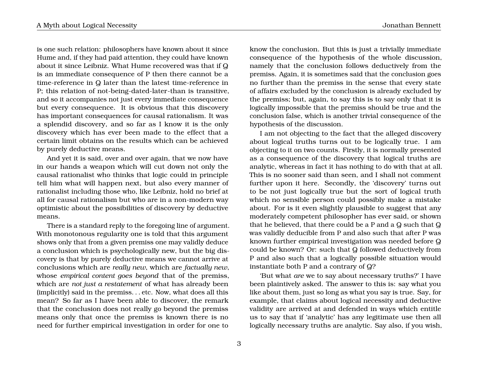is one such relation: philosophers have known about it since Hume and, if they had paid attention, they could have known about it since Leibniz. What Hume recovered was that if Q is an immediate consequence of P then there cannot be a time-reference in Q later than the latest time-reference in P; this relation of not-being-dated-later-than is transitive, and so it accompanies not just every immediate consequence but every consequence. It is obvious that this discovery has important consequences for causal rationalism. It was a splendid discovery, and so far as I know it is the only discovery which has ever been made to the effect that a certain limit obtains on the results which can be achieved by purely deductive means.

And yet it is said, over and over again, that we now have in our hands a weapon which will cut down not only the causal rationalist who thinks that logic could in principle tell him what will happen next, but also every manner of rationalist including those who, like Leibniz, hold no brief at all for causal rationalism but who are in a non-modern way optimistic about the possibilities of discovery by deductive means.

There is a standard reply to the foregoing line of argument. With monotonous regularity one is told that this argument shows only that from a given premiss one may validly deduce a conclusion which is psychologically new, but the big discovery is that by purely deductive means we cannot arrive at conclusions which are *really new*, which are *factually new*, whose *empirical content goes beyond* that of the premiss, which are *not just a restatement* of what has already been (implicitly) said in the premiss. . . etc. Now, what does all this mean? So far as I have been able to discover, the remark that the conclusion does not really go beyond the premiss means only that once the premiss is known there is no need for further empirical investigation in order for one to

know the conclusion. But this is just a trivially immediate consequence of the hypothesis of the whole discussion, namely that the conclusion follows deductively from the premiss. Again, it is sometimes said that the conclusion goes no further than the premiss in the sense that every state of affairs excluded by the conclusion is already excluded by the premiss; but, again, to say this is to say only that it is logically impossible that the premiss should be true and the conclusion false, which is another trivial consequence of the hypothesis of the discussion.

I am not objecting to the fact that the alleged discovery about logical truths turns out to be logically true. I am objecting to it on two counts. Firstly, it is normally presented as a consequence of the discovery that logical truths are analytic, whereas in fact it has nothing to do with that at all. This is no sooner said than seen, and I shall not comment further upon it here. Secondly, the 'discovery' turns out to be not just logically true but the sort of logical truth which no sensible person could possibly make a mistake about. For is it even slightly plausible to suggest that any moderately competent philosopher has ever said, or shown that he believed, that there could be a P and a Q such that Q was validly deducible from P and also such that after P was known further empirical investigation was needed before Q could be known? Or: such that Q followed deductively from P and also such that a logically possible situation would instantiate both P and a contrary of Q?

'But what *are* we to say about necessary truths?' I have been plaintively asked. The answer to this is: say what you like about them, just so long as what you say is true. Say, for example, that claims about logical necessity and deductive validity are arrived at and defended in ways which entitle us to say that if 'analytic' has any legitimate use then all logically necessary truths are analytic. Say also, if you wish,